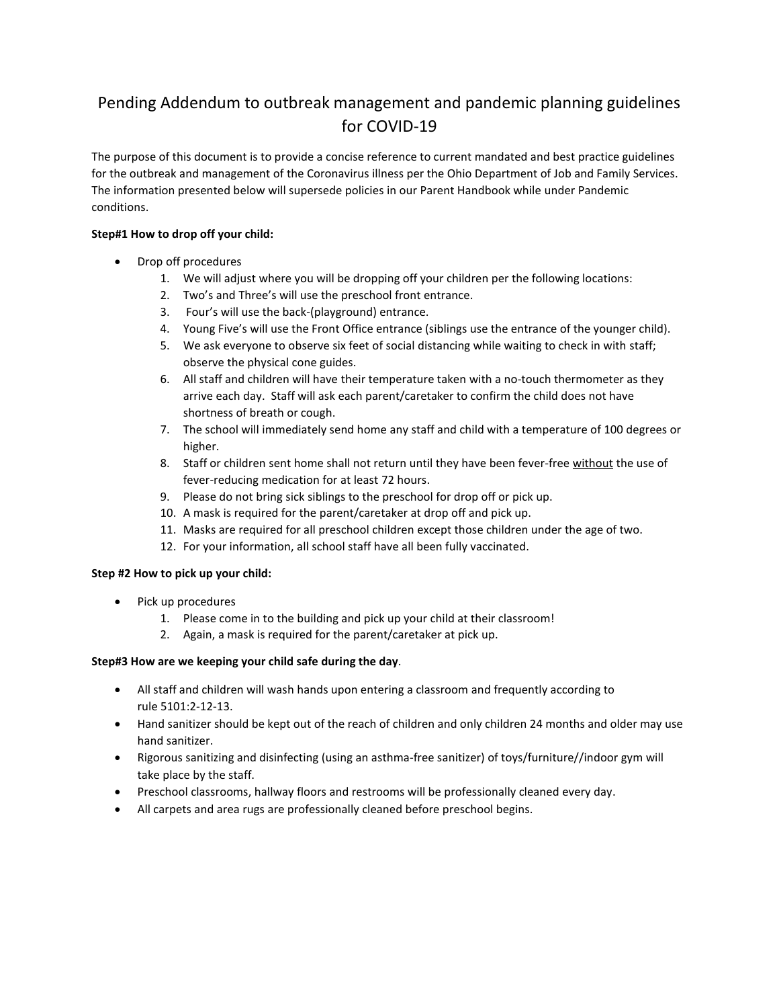# Pending Addendum to outbreak management and pandemic planning guidelines for COVID-19

The purpose of this document is to provide a concise reference to current mandated and best practice guidelines for the outbreak and management of the Coronavirus illness per the Ohio Department of Job and Family Services. The information presented below will supersede policies in our Parent Handbook while under Pandemic conditions.

## **Step#1 How to drop off your child:**

- Drop off procedures
	- 1. We will adjust where you will be dropping off your children per the following locations:
	- 2. Two's and Three's will use the preschool front entrance.
	- 3. Four's will use the back-(playground) entrance.
	- 4. Young Five's will use the Front Office entrance (siblings use the entrance of the younger child).
	- 5. We ask everyone to observe six feet of social distancing while waiting to check in with staff; observe the physical cone guides.
	- 6. All staff and children will have their temperature taken with a no-touch thermometer as they arrive each day. Staff will ask each parent/caretaker to confirm the child does not have shortness of breath or cough.
	- 7. The school will immediately send home any staff and child with a temperature of 100 degrees or higher.
	- 8. Staff or children sent home shall not return until they have been fever-free without the use of fever-reducing medication for at least 72 hours.
	- 9. Please do not bring sick siblings to the preschool for drop off or pick up.
	- 10. A mask is required for the parent/caretaker at drop off and pick up.
	- 11. Masks are required for all preschool children except those children under the age of two.
	- 12. For your information, all school staff have all been fully vaccinated.

### **Step #2 How to pick up your child:**

- Pick up procedures
	- 1. Please come in to the building and pick up your child at their classroom!
	- 2. Again, a mask is required for the parent/caretaker at pick up.

### **Step#3 How are we keeping your child safe during the day**.

- All staff and children will wash hands upon entering a classroom and frequently according to rule 5101:2-12-13.
- Hand sanitizer should be kept out of the reach of children and only children 24 months and older may use hand sanitizer.
- Rigorous sanitizing and disinfecting (using an asthma-free sanitizer) of toys/furniture//indoor gym will take place by the staff.
- Preschool classrooms, hallway floors and restrooms will be professionally cleaned every day.
- All carpets and area rugs are professionally cleaned before preschool begins.